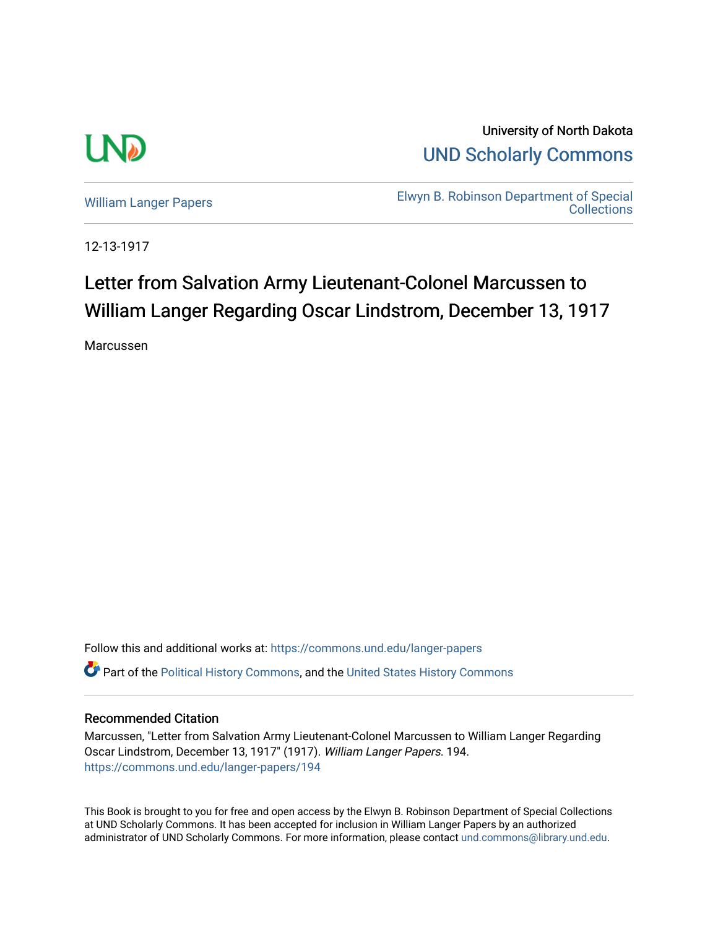

University of North Dakota [UND Scholarly Commons](https://commons.und.edu/) 

[William Langer Papers](https://commons.und.edu/langer-papers) **Elwyn B. Robinson Department of Special** [Collections](https://commons.und.edu/archives) 

12-13-1917

## Letter from Salvation Army Lieutenant-Colonel Marcussen to William Langer Regarding Oscar Lindstrom, December 13, 1917

Marcussen

Follow this and additional works at: [https://commons.und.edu/langer-papers](https://commons.und.edu/langer-papers?utm_source=commons.und.edu%2Flanger-papers%2F194&utm_medium=PDF&utm_campaign=PDFCoverPages)  **C** Part of the [Political History Commons,](http://network.bepress.com/hgg/discipline/505?utm_source=commons.und.edu%2Flanger-papers%2F194&utm_medium=PDF&utm_campaign=PDFCoverPages) and the [United States History Commons](http://network.bepress.com/hgg/discipline/495?utm_source=commons.und.edu%2Flanger-papers%2F194&utm_medium=PDF&utm_campaign=PDFCoverPages)

## Recommended Citation

Marcussen, "Letter from Salvation Army Lieutenant-Colonel Marcussen to William Langer Regarding Oscar Lindstrom, December 13, 1917" (1917). William Langer Papers. 194. [https://commons.und.edu/langer-papers/194](https://commons.und.edu/langer-papers/194?utm_source=commons.und.edu%2Flanger-papers%2F194&utm_medium=PDF&utm_campaign=PDFCoverPages) 

This Book is brought to you for free and open access by the Elwyn B. Robinson Department of Special Collections at UND Scholarly Commons. It has been accepted for inclusion in William Langer Papers by an authorized administrator of UND Scholarly Commons. For more information, please contact [und.commons@library.und.edu.](mailto:und.commons@library.und.edu)